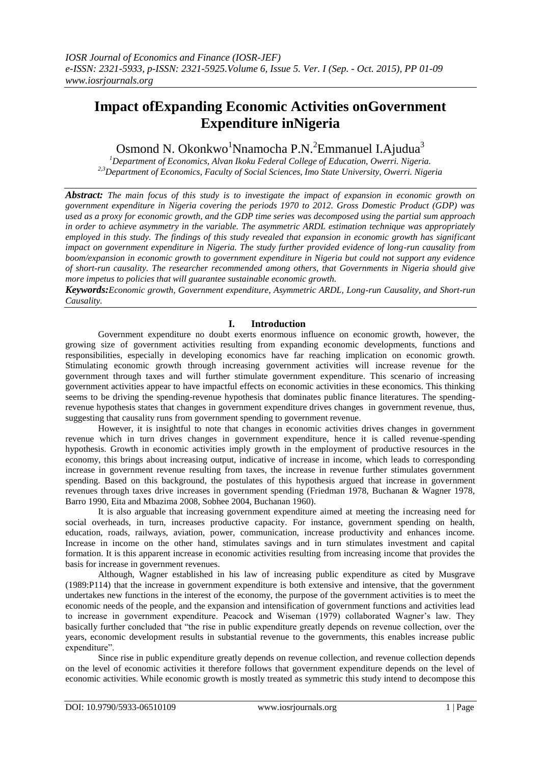# **Impact ofExpanding Economic Activities onGovernment Expenditure inNigeria**

# Osmond N. Okonkwo<sup>1</sup>Nnamocha P.N.<sup>2</sup>Emmanuel I.Ajudua<sup>3</sup>

*<sup>1</sup>Department of Economics, Alvan Ikoku Federal College of Education, Owerri. Nigeria. 2,3Department of Economics, Faculty of Social Sciences, Imo State University, Owerri. Nigeria*

*Abstract: The main focus of this study is to investigate the impact of expansion in economic growth on government expenditure in Nigeria covering the periods 1970 to 2012. Gross Domestic Product (GDP) was used as a proxy for economic growth, and the GDP time series was decomposed using the partial sum approach in order to achieve asymmetry in the variable. The asymmetric ARDL estimation technique was appropriately employed in this study. The findings of this study revealed that expansion in economic growth has significant impact on government expenditure in Nigeria. The study further provided evidence of long-run causality from boom/expansion in economic growth to government expenditure in Nigeria but could not support any evidence of short-run causality. The researcher recommended among others, that Governments in Nigeria should give more impetus to policies that will guarantee sustainable economic growth.*

*Keywords:Economic growth, Government expenditure, Asymmetric ARDL, Long-run Causality, and Short-run Causality.*

# **I. Introduction**

Government expenditure no doubt exerts enormous influence on economic growth, however, the growing size of government activities resulting from expanding economic developments, functions and responsibilities, especially in developing economics have far reaching implication on economic growth. Stimulating economic growth through increasing government activities will increase revenue for the government through taxes and will further stimulate government expenditure. This scenario of increasing government activities appear to have impactful effects on economic activities in these economics. This thinking seems to be driving the spending-revenue hypothesis that dominates public finance literatures. The spendingrevenue hypothesis states that changes in government expenditure drives changes in government revenue, thus, suggesting that causality runs from government spending to government revenue.

However, it is insightful to note that changes in economic activities drives changes in government revenue which in turn drives changes in government expenditure, hence it is called revenue-spending hypothesis. Growth in economic activities imply growth in the employment of productive resources in the economy, this brings about increasing output, indicative of increase in income, which leads to corresponding increase in government revenue resulting from taxes, the increase in revenue further stimulates government spending. Based on this background, the postulates of this hypothesis argued that increase in government revenues through taxes drive increases in government spending (Friedman 1978, Buchanan & Wagner 1978, Barro 1990, Eita and Mbazima 2008, Sobhee 2004, Buchanan 1960).

It is also arguable that increasing government expenditure aimed at meeting the increasing need for social overheads, in turn, increases productive capacity. For instance, government spending on health, education, roads, railways, aviation, power, communication, increase productivity and enhances income. Increase in income on the other hand, stimulates savings and in turn stimulates investment and capital formation. It is this apparent increase in economic activities resulting from increasing income that provides the basis for increase in government revenues.

Although, Wagner established in his law of increasing public expenditure as cited by Musgrave (1989:P114) that the increase in government expenditure is both extensive and intensive, that the government undertakes new functions in the interest of the economy, the purpose of the government activities is to meet the economic needs of the people, and the expansion and intensification of government functions and activities lead to increase in government expenditure. Peacock and Wiseman (1979) collaborated Wagner's law. They basically further concluded that "the rise in public expenditure greatly depends on revenue collection, over the years, economic development results in substantial revenue to the governments, this enables increase public expenditure".

Since rise in public expenditure greatly depends on revenue collection, and revenue collection depends on the level of economic activities it therefore follows that government expenditure depends on the level of economic activities. While economic growth is mostly treated as symmetric this study intend to decompose this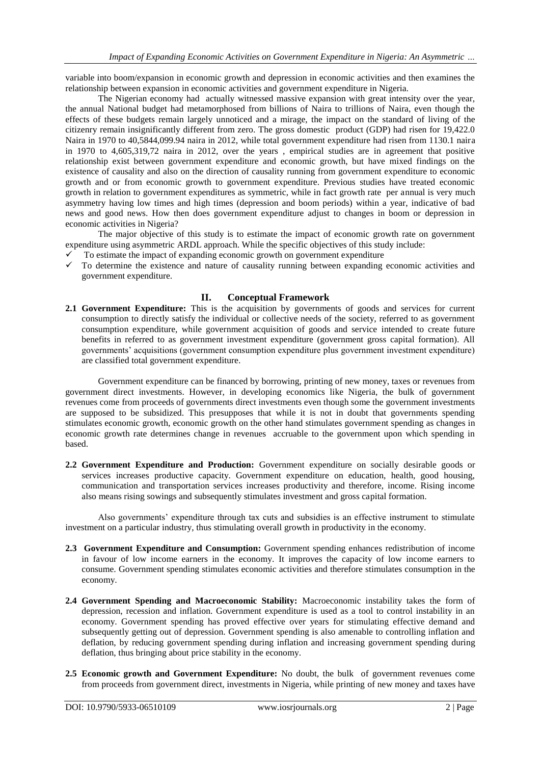variable into boom/expansion in economic growth and depression in economic activities and then examines the relationship between expansion in economic activities and government expenditure in Nigeria.

The Nigerian economy had actually witnessed massive expansion with great intensity over the year, the annual National budget had metamorphosed from billions of Naira to trillions of Naira, even though the effects of these budgets remain largely unnoticed and a mirage, the impact on the standard of living of the citizenry remain insignificantly different from zero. The gross domestic product (GDP) had risen for 19,422.0 Naira in 1970 to 40,5844,099.94 naira in 2012, while total government expenditure had risen from 1130.1 naira in 1970 to 4,605,319,72 naira in 2012, over the years , empirical studies are in agreement that positive relationship exist between government expenditure and economic growth, but have mixed findings on the existence of causality and also on the direction of causality running from government expenditure to economic growth and or from economic growth to government expenditure. Previous studies have treated economic growth in relation to government expenditures as symmetric, while in fact growth rate per annual is very much asymmetry having low times and high times (depression and boom periods) within a year, indicative of bad news and good news. How then does government expenditure adjust to changes in boom or depression in economic activities in Nigeria?

The major objective of this study is to estimate the impact of economic growth rate on government expenditure using asymmetric ARDL approach. While the specific objectives of this study include:

- $\checkmark$  To estimate the impact of expanding economic growth on government expenditure
- $\checkmark$  To determine the existence and nature of causality running between expanding economic activities and government expenditure.

### **II. Conceptual Framework**

**2.1 Government Expenditure:** This is the acquisition by governments of goods and services for current consumption to directly satisfy the individual or collective needs of the society, referred to as government consumption expenditure, while government acquisition of goods and service intended to create future benefits in referred to as government investment expenditure (government gross capital formation). All governments' acquisitions (government consumption expenditure plus government investment expenditure) are classified total government expenditure.

Government expenditure can be financed by borrowing, printing of new money, taxes or revenues from government direct investments. However, in developing economics like Nigeria, the bulk of government revenues come from proceeds of governments direct investments even though some the government investments are supposed to be subsidized. This presupposes that while it is not in doubt that governments spending stimulates economic growth, economic growth on the other hand stimulates government spending as changes in economic growth rate determines change in revenues accruable to the government upon which spending in based.

**2.2 Government Expenditure and Production:** Government expenditure on socially desirable goods or services increases productive capacity. Government expenditure on education, health, good housing, communication and transportation services increases productivity and therefore, income. Rising income also means rising sowings and subsequently stimulates investment and gross capital formation.

Also governments' expenditure through tax cuts and subsidies is an effective instrument to stimulate investment on a particular industry, thus stimulating overall growth in productivity in the economy.

- **2.3 Government Expenditure and Consumption:** Government spending enhances redistribution of income in favour of low income earners in the economy. It improves the capacity of low income earners to consume. Government spending stimulates economic activities and therefore stimulates consumption in the economy.
- **2.4 Government Spending and Macroeconomic Stability:** Macroeconomic instability takes the form of depression, recession and inflation. Government expenditure is used as a tool to control instability in an economy. Government spending has proved effective over years for stimulating effective demand and subsequently getting out of depression. Government spending is also amenable to controlling inflation and deflation, by reducing government spending during inflation and increasing government spending during deflation, thus bringing about price stability in the economy.
- **2.5 Economic growth and Government Expenditure:** No doubt, the bulk of government revenues come from proceeds from government direct, investments in Nigeria, while printing of new money and taxes have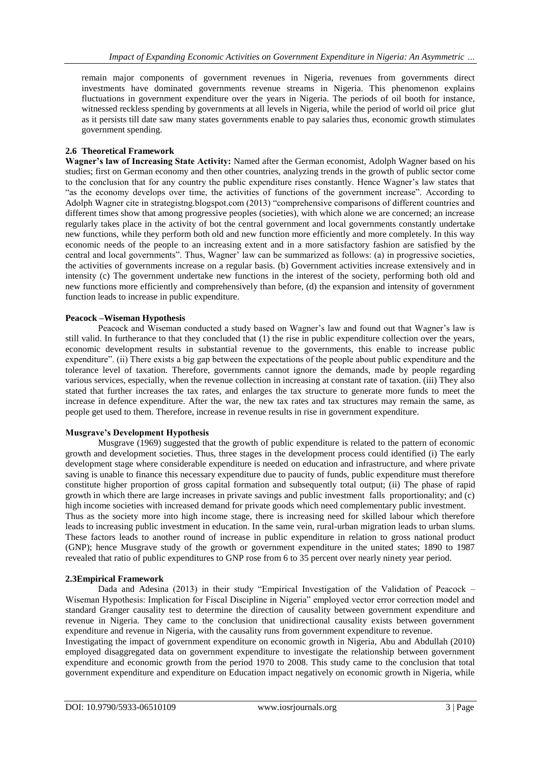remain major components of government revenues in Nigeria, revenues from governments direct investments have dominated governments revenue streams in Nigeria. This phenomenon explains fluctuations in government expenditure over the years in Nigeria. The periods of oil booth for instance, witnessed reckless spending by governments at all levels in Nigeria, while the period of world oil price glut as it persists till date saw many states governments enable to pay salaries thus, economic growth stimulates government spending.

### **2.6 Theoretical Framework**

**Wagner's law of Increasing State Activity:** Named after the German economist, Adolph Wagner based on his studies; first on German economy and then other countries, analyzing trends in the growth of public sector come to the conclusion that for any country the public expenditure rises constantly. Hence Wagner's law states that "as the economy develops over time, the activities of functions of the government increase". According to Adolph Wagner cite in strategistng.blogspot.com (2013) "comprehensive comparisons of different countries and different times show that among progressive peoples (societies), with which alone we are concerned; an increase regularly takes place in the activity of bot the central government and local governments constantly undertake new functions, while they perform both old and new function more efficiently and more completely. In this way economic needs of the people to an increasing extent and in a more satisfactory fashion are satisfied by the central and local governments". Thus, Wagner' law can be summarized as follows: (a) in progressive societies, the activities of governments increase on a regular basis. (b) Government activities increase extensively and in intensity (c) The government undertake new functions in the interest of the society, performing both old and new functions more efficiently and comprehensively than before, (d) the expansion and intensity of government function leads to increase in public expenditure.

### **Peacock –Wiseman Hypothesis**

Peacock and Wiseman conducted a study based on Wagner's law and found out that Wagner's law is still valid. In furtherance to that they concluded that (1) the rise in public expenditure collection over the years, economic development results in substantial revenue to the governments, this enable to increase public expenditure". (ii) There exists a big gap between the expectations of the people about public expenditure and the tolerance level of taxation. Therefore, governments cannot ignore the demands, made by people regarding various services, especially, when the revenue collection in increasing at constant rate of taxation. (iii) They also stated that further increases the tax rates, and enlarges the tax structure to generate more funds to meet the increase in defence expenditure. After the war, the new tax rates and tax structures may remain the same, as people get used to them. Therefore, increase in revenue results in rise in government expenditure.

### **Musgrave's Development Hypothesis**

Musgrave (1969) suggested that the growth of public expenditure is related to the pattern of economic growth and development societies. Thus, three stages in the development process could identified (i) The early development stage where considerable expenditure is needed on education and infrastructure, and where private saving is unable to finance this necessary expenditure due to paucity of funds, public expenditure must therefore constitute higher proportion of gross capital formation and subsequently total output; (ii) The phase of rapid growth in which there are large increases in private savings and public investment falls proportionality; and (c) high income societies with increased demand for private goods which need complementary public investment. Thus as the society more into high income stage, there is increasing need for skilled labour which therefore leads to increasing public investment in education. In the same vein, rural-urban migration leads to urban slums. These factors leads to another round of increase in public expenditure in relation to gross national product (GNP); hence Musgrave study of the growth or government expenditure in the united states; 1890 to 1987 revealed that ratio of public expenditures to GNP rose from 6 to 35 percent over nearly ninety year period.

### **2.3Empirical Framework**

Dada and Adesina (2013) in their study "Empirical Investigation of the Validation of Peacock – Wiseman Hypothesis: Implication for Fiscal Discipline in Nigeria" employed vector error correction model and standard Granger causality test to determine the direction of causality between government expenditure and revenue in Nigeria. They came to the conclusion that unidirectional causality exists between government expenditure and revenue in Nigeria, with the causality runs from government expenditure to revenue.

Investigating the impact of government expenditure on economic growth in Nigeria, Abu and Abdullah (2010) employed disaggregated data on government expenditure to investigate the relationship between government expenditure and economic growth from the period 1970 to 2008. This study came to the conclusion that total government expenditure and expenditure on Education impact negatively on economic growth in Nigeria, while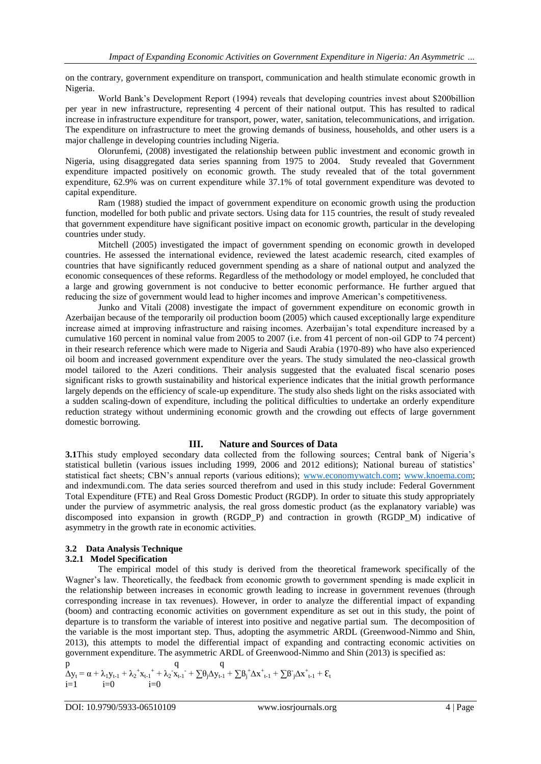on the contrary, government expenditure on transport, communication and health stimulate economic growth in Nigeria.

World Bank's Development Report (1994) reveals that developing countries invest about \$200billion per year in new infrastructure, representing 4 percent of their national output. This has resulted to radical increase in infrastructure expenditure for transport, power, water, sanitation, telecommunications, and irrigation. The expenditure on infrastructure to meet the growing demands of business, households, and other users is a major challenge in developing countries including Nigeria.

Olorunfemi, (2008) investigated the relationship between public investment and economic growth in Nigeria, using disaggregated data series spanning from 1975 to 2004. Study revealed that Government expenditure impacted positively on economic growth. The study revealed that of the total government expenditure, 62.9% was on current expenditure while 37.1% of total government expenditure was devoted to capital expenditure.

Ram (1988) studied the impact of government expenditure on economic growth using the production function, modelled for both public and private sectors. Using data for 115 countries, the result of study revealed that government expenditure have significant positive impact on economic growth, particular in the developing countries under study.

Mitchell (2005) investigated the impact of government spending on economic growth in developed countries. He assessed the international evidence, reviewed the latest academic research, cited examples of countries that have significantly reduced government spending as a share of national output and analyzed the economic consequences of these reforms. Regardless of the methodology or model employed, he concluded that a large and growing government is not conducive to better economic performance. He further argued that reducing the size of government would lead to higher incomes and improve American's competitiveness.

Junko and Vitali (2008) investigate the impact of government expenditure on economic growth in Azerbaijan because of the temporarily oil production boom (2005) which caused exceptionally large expenditure increase aimed at improving infrastructure and raising incomes. Azerbaijan's total expenditure increased by a cumulative 160 percent in nominal value from 2005 to 2007 (i.e. from 41 percent of non-oil GDP to 74 percent) in their research reference which were made to Nigeria and Saudi Arabia (1970-89) who have also experienced oil boom and increased government expenditure over the years. The study simulated the neo-classical growth model tailored to the Azeri conditions. Their analysis suggested that the evaluated fiscal scenario poses significant risks to growth sustainability and historical experience indicates that the initial growth performance largely depends on the efficiency of scale-up expenditure. The study also sheds light on the risks associated with a sudden scaling-down of expenditure, including the political difficulties to undertake an orderly expenditure reduction strategy without undermining economic growth and the crowding out effects of large government domestic borrowing.

### **III. Nature and Sources of Data**

**3.1**This study employed secondary data collected from the following sources; Central bank of Nigeria's statistical bulletin (various issues including 1999, 2006 and 2012 editions); National bureau of statistics' statistical fact sheets; CBN's annual reports (various editions); [www.economywatch.com;](http://www.economywatch.com/) [www.knoema.com;](http://www.knoema.com/) and indexmundi.com. The data series sourced therefrom and used in this study include: Federal Government Total Expenditure (FTE) and Real Gross Domestic Product (RGDP). In order to situate this study appropriately under the purview of asymmetric analysis, the real gross domestic product (as the explanatory variable) was discomposed into expansion in growth (RGDP\_P) and contraction in growth (RGDP\_M) indicative of asymmetry in the growth rate in economic activities.

# **3.2 Data Analysis Technique**

# **3.2.1 Model Specification**

The empirical model of this study is derived from the theoretical framework specifically of the Wagner's law. Theoretically, the feedback from economic growth to government spending is made explicit in the relationship between increases in economic growth leading to increase in government revenues (through corresponding increase in tax revenues). However, in order to analyze the differential impact of expanding (boom) and contracting economic activities on government expenditure as set out in this study, the point of departure is to transform the variable of interest into positive and negative partial sum. The decomposition of the variable is the most important step. Thus, adopting the asymmetric ARDL (Greenwood-Nimmo and Shin, 2013), this attempts to model the differential impact of expanding and contracting economic activities on government expenditure. The asymmetric ARDL of Greenwood-Nimmo and Shin (2013) is specified as:

$$
\begin{array}{l} p\\ \Delta y_t = \alpha + \lambda_1 y_{t\text{-}1} + \lambda_2 {^+ x_{t\text{-}1}}^+ + \lambda_2 {^+ x_{t\text{-}1}}^+ + \sum \! \theta_j \Delta y_{t\text{-}1} + \sum \! \beta_j {^+ \Delta x_{-t\text{-}1}}^+ + \sum \! \beta_j \Delta x_{-t\text{-}1}^+ + \epsilon_t\\ i\!\! = \!\! 1 \end{array}
$$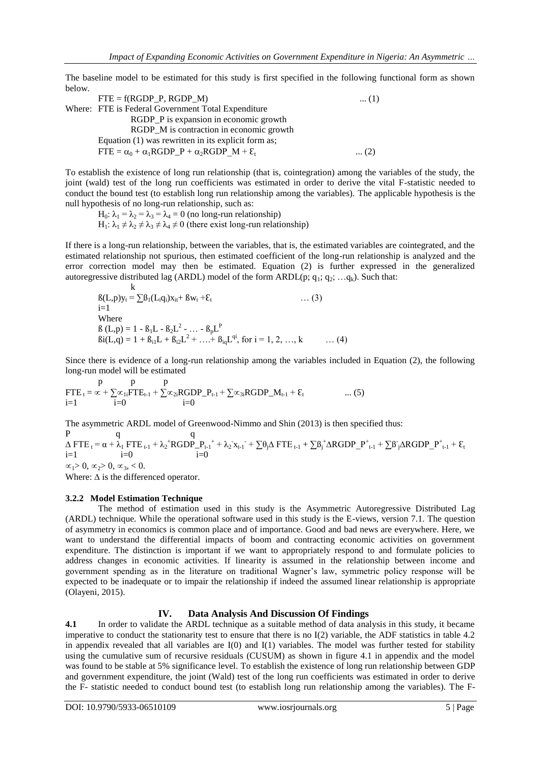The baseline model to be estimated for this study is first specified in the following functional form as shown below.

 $FTE = f(RGDP \ P, RGDP \ M)$  ... (1) Where: FTE is Federal Government Total Expenditure RGDP P is expansion in economic growth RGDP M is contraction in economic growth Equation (1) was rewritten in its explicit form as;  $FTE = \alpha_0 + \alpha_1 RGBDP_P + \alpha_2RGBP_M + \varepsilon_t$ ... (2)

To establish the existence of long run relationship (that is, cointegration) among the variables of the study, the joint (wald) test of the long run coefficients was estimated in order to derive the vital F-statistic needed to conduct the bound test (to establish long run relationship among the variables). The applicable hypothesis is the null hypothesis of no long-run relationship, such as:

H<sub>0</sub>:  $\lambda_1 = \lambda_2 = \lambda_3 = \lambda_4 = 0$  (no long-run relationship)  $H_1$ :  $\lambda_1 \neq \lambda_2 \neq \lambda_3 \neq \lambda_4 \neq 0$  (there exist long-run relationship)

If there is a long-run relationship, between the variables, that is, the estimated variables are cointegrated, and the estimated relationship not spurious, then estimated coefficient of the long-run relationship is analyzed and the error correction model may then be estimated. Equation (2) is further expressed in the generalized autoregressive distributed lag (ARDL) model of the form ARDL(p;  $q_1$ ;  $q_2$ ; ... $q_k$ ). Such that:

$$
B(L,p)y_t = \sum B_1(L_iq_i)x_{it} + Bw_t + \mathcal{E}_t
$$
\n... (3)  
\ni=1  
\nWhere  
\n
$$
B(L,p) = 1 - B_1L - B_2L^2 - ... - B_pL^p
$$
\n
$$
Bi(L,q) = 1 + B_{i1}L + B_{i2}L^2 + ... + B_{iq}L^{qi}, \text{ for } i = 1, 2, ..., k
$$
\n... (4)

Since there is evidence of a long-run relationship among the variables included in Equation (2), the following long-run model will be estimated

$$
\begin{array}{lll}\n & p & p \\
& FTE_t = \alpha + \sum_{i=0}^{\infty} \alpha_{1i}FTE_{t-1} + \sum_{i=0}^{\infty} \alpha_{2i}RGDP_{-}P_{t-1} + \sum_{i=0}^{\infty} \alpha_{3i}RGDP_{-}M_{t-1} + \epsilon_t & \dots (5)\n\end{array}
$$

The asymmetric ARDL model of Greenwood-Nimmo and Shin (2013) is then specified thus:  $P$  q q  $\Delta$  FTE<sub>t</sub> =  $\alpha$  +  $\lambda$ <sub>1</sub> FTE<sub>t-1</sub> +  $\lambda$ <sub>2</sub><sup>+</sup>RGDP\_P<sub>t-1</sub><sup>+</sup> +  $\lambda$ <sub>2</sub><sup>x</sup><sub>t-1</sub><sup>-</sup> +  $\sum$ θ<sub>j</sub> $\Delta$  FTE<sub>t-1</sub> +  $\sum$ B<sub>j</sub><sup>+</sup> $\Delta$ RGDP\_P<sup>+</sup><sub>t-1</sub> +  $\sum$ B<sub>j</sub> $\Delta$ RGDP\_P<sup>+</sup><sub>t-1</sub> +  $\epsilon$ <sub>1</sub>  $i=1$   $i=0$   $i=0$  $\alpha_1 > 0, \alpha_2 > 0, \alpha_3, < 0.$ 

Where:  $\Delta$  is the differenced operator.

 $\mathbf{r}$ 

### **3.2.2 Model Estimation Technique**

The method of estimation used in this study is the Asymmetric Autoregressive Distributed Lag (ARDL) technique. While the operational software used in this study is the E-views, version 7.1. The question of asymmetry in economics is common place and of importance. Good and bad news are everywhere. Here, we want to understand the differential impacts of boom and contracting economic activities on government expenditure. The distinction is important if we want to appropriately respond to and formulate policies to address changes in economic activities. If linearity is assumed in the relationship between income and government spending as in the literature on traditional Wagner's law, symmetric policy response will be expected to be inadequate or to impair the relationship if indeed the assumed linear relationship is appropriate (Olayeni, 2015).

# **IV. Data Analysis And Discussion Of Findings**

**4.1** In order to validate the ARDL technique as a suitable method of data analysis in this study, it became imperative to conduct the stationarity test to ensure that there is no I(2) variable, the ADF statistics in table 4.2 in appendix revealed that all variables are  $I(0)$  and  $I(1)$  variables. The model was further tested for stability using the cumulative sum of recursive residuals (CUSUM) as shown in figure 4.1 in appendix and the model was found to be stable at 5% significance level. To establish the existence of long run relationship between GDP and government expenditure, the joint (Wald) test of the long run coefficients was estimated in order to derive the F- statistic needed to conduct bound test (to establish long run relationship among the variables). The F-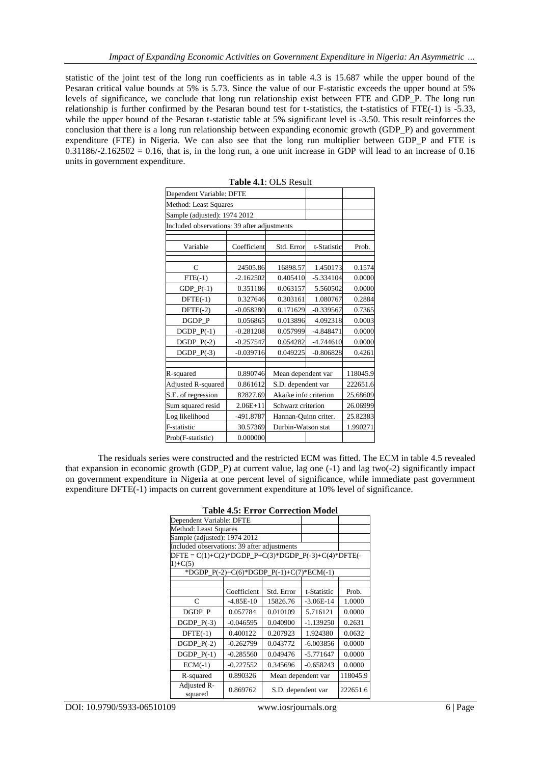statistic of the joint test of the long run coefficients as in table 4.3 is 15.687 while the upper bound of the Pesaran critical value bounds at 5% is 5.73. Since the value of our F-statistic exceeds the upper bound at 5% levels of significance, we conclude that long run relationship exist between FTE and GDP\_P. The long run relationship is further confirmed by the Pesaran bound test for t-statistics, the t-statistics of FTE(-1) is -5.33, while the upper bound of the Pesaran t-statistic table at 5% significant level is -3.50. This result reinforces the conclusion that there is a long run relationship between expanding economic growth (GDP\_P) and government expenditure (FTE) in Nigeria. We can also see that the long run multiplier between GDP\_P and FTE is  $0.31186/-2.162502 = 0.16$ , that is, in the long run, a one unit increase in GDP will lead to an increase of 0.16 units in government expenditure.

| Dependent Variable: DFTE                    |              |                         |             |          |
|---------------------------------------------|--------------|-------------------------|-------------|----------|
| Method: Least Squares                       |              |                         |             |          |
| Sample (adjusted): 1974 2012                |              |                         |             |          |
| Included observations: 39 after adjustments |              |                         |             |          |
|                                             |              |                         |             |          |
| Variable                                    | Coefficient  | Std. Error              | t-Statistic | Prob.    |
|                                             |              |                         |             |          |
| C                                           | 24505.86     | 16898.57                | 1.450173    | 0.1574   |
| $FTE(-1)$                                   | $-2.162502$  | 0.405410<br>$-5.334104$ |             | 0.0000   |
| $GDP_P(-1)$                                 | 0.351186     | 0.063157<br>5.560502    |             | 0.0000   |
| $DFTE(-1)$                                  | 0.327646     | 0.303161<br>1.080767    |             | 0.2884   |
| $DFTE(-2)$                                  | $-0.058280$  | 0.171629<br>$-0.339567$ |             | 0.7365   |
| DGDP_P                                      | 0.056865     | 0.013896<br>4.092318    |             | 0.0003   |
| $DGDP_P(-1)$                                | $-0.281208$  | 0.057999                | $-4.848471$ | 0.0000   |
| $DGDP_P(-2)$                                | $-0.257547$  | 0.054282<br>$-4.744610$ |             | 0.0000   |
| $DGDP_P(-3)$                                | $-0.039716$  | 0.049225                | $-0.806828$ | 0.4261   |
|                                             |              |                         |             |          |
| R-squared                                   | 0.890746     | Mean dependent var      |             | 118045.9 |
| Adjusted R-squared                          | 0.861612     | S.D. dependent var      |             | 222651.6 |
| S.E. of regression                          | 82827.69     | Akaike info criterion   |             | 25.68609 |
| Sum squared resid                           | $2.06E + 11$ | Schwarz criterion       |             | 26.06999 |
| Log likelihood                              | -491.8787    | Hannan-Quinn criter.    |             | 25.82383 |
| F-statistic                                 | 30.57369     | Durbin-Watson stat      |             | 1.990271 |
| Prob(F-statistic)                           | 0.000000     |                         |             |          |

| Table 4.1: OLS Result |  |  |  |  |
|-----------------------|--|--|--|--|
|-----------------------|--|--|--|--|

The residuals series were constructed and the restricted ECM was fitted. The ECM in table 4.5 revealed that expansion in economic growth (GDP\_P) at current value, lag one (-1) and lag two(-2) significantly impact on government expenditure in Nigeria at one percent level of significance, while immediate past government expenditure DFTE(-1) impacts on current government expenditure at 10% level of significance.

| Dependent Variable: DFTE                                          |                                          |                    |             |        |
|-------------------------------------------------------------------|------------------------------------------|--------------------|-------------|--------|
| Method: Least Squares                                             |                                          |                    |             |        |
| Sample (adjusted): 1974 2012                                      |                                          |                    |             |        |
| Included observations: 39 after adjustments                       |                                          |                    |             |        |
| $DFTE = C(1) + C(2)*DGDP_P + C(3)*DGDP_P(-3) + C(4)*DFTE(-1)^{2}$ |                                          |                    |             |        |
| $1)+C(5)$                                                         |                                          |                    |             |        |
|                                                                   | *DGDP_P(-2)+C(6)*DGDP_P(-1)+C(7)*ECM(-1) |                    |             |        |
|                                                                   |                                          |                    |             |        |
|                                                                   | Coefficient                              | Std. Error         | t-Statistic | Prob.  |
| C                                                                 | $-4.85E-10$                              | 15826.76           | $-3.06E-14$ | 1.0000 |
| DGDP_P                                                            | 0.057784                                 | 0.010109           | 5.716121    | 0.0000 |
| $DGDP_P(-3)$                                                      | $-0.046595$                              | 0.040900           | $-1.139250$ | 0.2631 |
| $DFTE(-1)$                                                        | 0.400122                                 | 0.207923           | 1.924380    | 0.0632 |
| $DGDP_P(-2)$                                                      | $-0.262799$                              | 0.043772           | $-6.003856$ | 0.0000 |
| DGDP $P(-1)$                                                      | $-0.285560$                              | 0.049476           | $-5.771647$ | 0.0000 |
| $ECM(-1)$                                                         | $-0.227552$                              | 0.345696           | $-0.658243$ | 0.0000 |
| R-squared                                                         | 0.890326                                 | Mean dependent var | 118045.9    |        |
| Adjusted R-<br>squared                                            | 0.869762                                 | S.D. dependent var | 222651.6    |        |

| <b>Table 4.5: Error Correction Model</b> |  |
|------------------------------------------|--|
|------------------------------------------|--|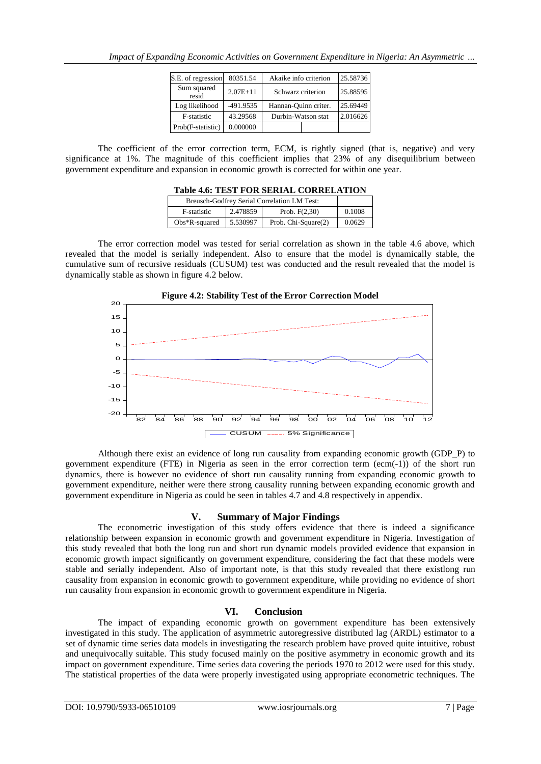| S.E. of regression   | 80351.54     | Akaike info criterion |  | 25.58736 |
|----------------------|--------------|-----------------------|--|----------|
| Sum squared<br>resid | $2.07E + 11$ | Schwarz criterion     |  | 25.88595 |
| Log likelihood       | $-491.9535$  | Hannan-Ouinn criter.  |  | 25.69449 |
| F-statistic          | 43.29568     | Durbin-Watson stat    |  | 2.016626 |
| Prob(F-statistic)    | 0.000000     |                       |  |          |

The coefficient of the error correction term, ECM, is rightly signed (that is, negative) and very significance at 1%. The magnitude of this coefficient implies that 23% of any disequilibrium between government expenditure and expansion in economic growth is corrected for within one year.

| Breusch-Godfrey Serial Correlation LM Test: |          |                     |        |
|---------------------------------------------|----------|---------------------|--------|
| F-statistic                                 | 2.478859 | Prob. $F(2.30)$     | 0.1008 |
| $Obs*R$ -squared                            | 5.530997 | Prob. Chi-Square(2) | 0.0629 |

The error correction model was tested for serial correlation as shown in the table 4.6 above, which revealed that the model is serially independent. Also to ensure that the model is dynamically stable, the cumulative sum of recursive residuals (CUSUM) test was conducted and the result revealed that the model is dynamically stable as shown in figure 4.2 below.





Although there exist an evidence of long run causality from expanding economic growth (GDP\_P) to government expenditure (FTE) in Nigeria as seen in the error correction term (ecm(-1)) of the short run dynamics, there is however no evidence of short run causality running from expanding economic growth to government expenditure, neither were there strong causality running between expanding economic growth and government expenditure in Nigeria as could be seen in tables 4.7 and 4.8 respectively in appendix.

# **V. Summary of Major Findings**

The econometric investigation of this study offers evidence that there is indeed a significance relationship between expansion in economic growth and government expenditure in Nigeria. Investigation of this study revealed that both the long run and short run dynamic models provided evidence that expansion in economic growth impact significantly on government expenditure, considering the fact that these models were stable and serially independent. Also of important note, is that this study revealed that there existlong run causality from expansion in economic growth to government expenditure, while providing no evidence of short run causality from expansion in economic growth to government expenditure in Nigeria.

# **VI. Conclusion**

The impact of expanding economic growth on government expenditure has been extensively investigated in this study. The application of asymmetric autoregressive distributed lag (ARDL) estimator to a set of dynamic time series data models in investigating the research problem have proved quite intuitive, robust and unequivocally suitable. This study focused mainly on the positive asymmetry in economic growth and its impact on government expenditure. Time series data covering the periods 1970 to 2012 were used for this study. The statistical properties of the data were properly investigated using appropriate econometric techniques. The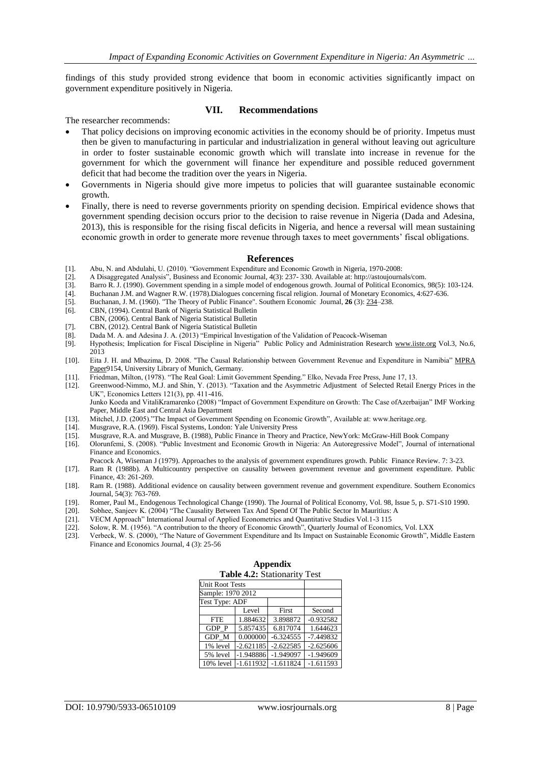findings of this study provided strong evidence that boom in economic activities significantly impact on government expenditure positively in Nigeria.

#### **VII. Recommendations**

The researcher recommends:

- That policy decisions on improving economic activities in the economy should be of priority. Impetus must then be given to manufacturing in particular and industrialization in general without leaving out agriculture in order to foster sustainable economic growth which will translate into increase in revenue for the government for which the government will finance her expenditure and possible reduced government deficit that had become the tradition over the years in Nigeria.
- Governments in Nigeria should give more impetus to policies that will guarantee sustainable economic growth.
- Finally, there is need to reverse governments priority on spending decision. Empirical evidence shows that government spending decision occurs prior to the decision to raise revenue in Nigeria (Dada and Adesina, 2013), this is responsible for the rising fiscal deficits in Nigeria, and hence a reversal will mean sustaining economic growth in order to generate more revenue through taxes to meet governments' fiscal obligations.

#### **References**

- [1]. Abu, N. and Abdulahi, U. (2010). "Government Expenditure and Economic Growth in Nigeria, 1970-2008:
- [2]. A Disaggregated Analysis", Business and Economic Journal, 4(3): 237- 330. Available at: http://astoujournals/com.
- [3]. Barro R. J. (1990). Government spending in a simple model of endogenous growth. Journal of Political Economics, 98(5): 103-124.<br>[4]. Buchanan J.M. and Wagner R.W. (1978). Dialogues concerning fiscal religion. Journal
- [4]. Buchanan J.M. and Wagner R.W. (1978).Dialogues concerning fiscal religion. Journal of Monetary Economics, 4:627-636.
- [5]. [Buchanan, J. M.](http://en.wikipedia.org/wiki/James_M._Buchanan) (1960). "The Theory of Public Finance". Southern Economic Journal, **26** (3): [234–](http://www.jstor.org/discover/10.2307/1054956?uid=3739936&uid=2&uid=4&uid=3739256&sid=21101850374897)238.
- [6]. CBN, (1994). Central Bank of Nigeria Statistical Bulletin
- CBN, (2006). Central Bank of Nigeria Statistical Bulletin
- [7]. CBN, (2012). Central Bank of Nigeria Statistical Bulletin
- [8]. Dada M. A. and Adesina J. A. (2013) "Empirical Investigation of the Validation of Peacock-Wiseman
- [9]. Hypothesis; Implication for Fiscal Discipline in Nigeria" Public Policy and Administration Research [www.iiste.org](http://www.iiste.org/) Vol.3, No.6, 2013
- [10]. Eita J. H. and Mbazima, D. 2008. "The Causal Relationship between Government Revenue and Expenditure in Namibia" [MPRA](https://ideas.repec.org/s/pra/mprapa.html)  [Paper9](https://ideas.repec.org/s/pra/mprapa.html)154, University Library of Munich, Germany.
- [11]. Friedman, Milton, (1978). "The Real Goal: Limit Government Spending." Elko, Nevada Free Press, June 17, 13.
- [12]. Greenwood-Nimmo, M.J. and Shin, Y. (2013). "Taxation and the Asymmetric Adjustment of Selected Retail Energy Prices in the UK", Economics Letters 121(3), pp. 411-416. Junko Koeda and VitaliKramarenko (2008) "Impact of Government Expenditure on Growth: The Case ofAzerbaijan" IMF Working

Paper, Middle East and Central Asia Department

- [13]. Mitchel, J.D. (2005)."The Impact of Government Spending on Economic Growth", Available at: www.heritage.org.
- [14]. Musgrave, R.A. (1969). Fiscal Systems, London: Yale University Press
- [15]. Musgrave, R.A. and Musgrave, B. (1988), Public Finance in Theory and Practice, NewYork: McGraw-Hill Book Company
- [16]. Olorunfemi, S. (2008). "Public Investment and Economic Growth in Nigeria: An Autoregressive Model", Journal of international Finance and Economics.
- Peacock A, Wiseman J (1979). Approaches to the analysis of government expenditures growth. Public Finance Review. 7: 3-23.
- [17]. Ram R (1988b). A Multicountry perspective on causality between government revenue and government expenditure. Public Finance, 43: 261-269.
- [18]. Ram R. (1988). Additional evidence on causality between government revenue and government expenditure. Southern Economics Journal, 54(3): 763-769.
- [19]. Romer, Paul M., Endogenous Technological Change (1990). The Journal of Political Economy, Vol. 98, Issue 5, p. S71-S10 1990.
- [20]. Sobhee, Sanjeev K. (2004) "The Causality Between Tax And Spend Of The Public Sector In Mauritius: A
- [21]. VECM Approach" International Journal of Applied Econometrics and Quantitative Studies Vol.1-3 115
- [22]. Solow, R. M. (1956). "A contribution to the theory of Economic Growth", Quarterly Journal of Economics, Vol. LXX
- [23]. Verbeck, W. S. (2000), "The Nature of Government Expenditure and Its Impact on Sustainable Economic Growth", Middle Eastern Finance and Economics Journal, 4 (3): 25-56

| <b>Table 4.4:</b> Stationarity<br>1 CSU |             |                         |             |  |
|-----------------------------------------|-------------|-------------------------|-------------|--|
| <b>Unit Root Tests</b>                  |             |                         |             |  |
| Sample: 1970 2012                       |             |                         |             |  |
| Test Type: ADF                          |             |                         |             |  |
|                                         | Level       | First                   | Second      |  |
| <b>FTE</b>                              | 1.884632    | 3.898872                | $-0.932582$ |  |
| GDP P                                   | 5.857435    | 6.817074                | 1.644623    |  |
| GDP M                                   | 0.000000    | $-6.324555$             | $-7.449832$ |  |
| 1% level                                | $-2.621185$ | $-2.622585$             | $-2.625606$ |  |
| 5% level                                | $-1.948886$ | $-1.949097$             | $-1.949609$ |  |
| 10% level                               |             | $-1.611932$ $-1.611824$ | $-1.611593$ |  |

**Appendix**<br>Toble 4.2: Stationary **Table 4.2:** Stationarity Test